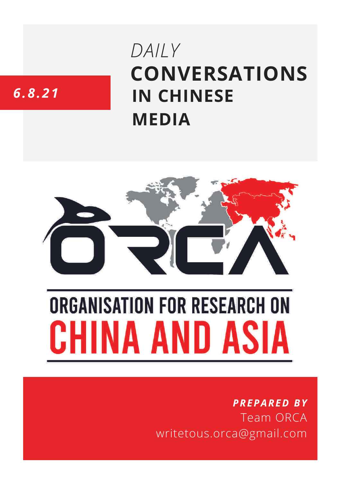# **CONVERSATIONS IN CHINESE MEDIA** *DAILY*

# *6.8.21*



# **ORGANISATION FOR RESEARCH ON** HINA AND ASIA

## *PREPARED BY* Team ORCA writetous.orca@gmail.com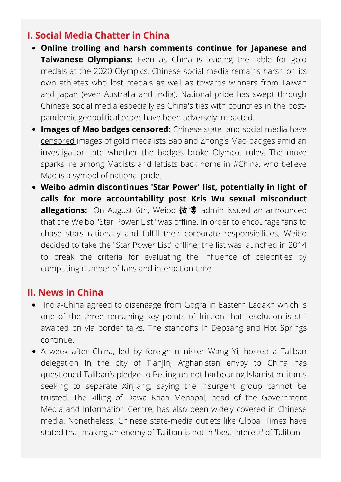#### **I. Social Media Chatter in China**

- **Online trolling and harsh comments continue for Japanese and Taiwanese Olympians:** Even as China is leading the table for gold medals at the 2020 Olympics, Chinese social media remains harsh on its own athletes who lost medals as well as towards winners from Taiwan and Japan (even Australia and India). National pride has swept through Chinese social media especially as China's ties with countries in the postpandemic geopolitical order have been adversely impacted.
- **Images of Mao badges censored:** Chinese state and social media have [censored](https://www.rfa.org/english/news/china/olympics-mao-08042021084321.html) images of gold medalists Bao and Zhong's Mao badges amid an investigation into whether the badges broke Olympic rules. The move sparks ire among Maoists and leftists back home in [#China](https://twitter.com/hashtag/China?src=hashtag_click), who believe Mao is a symbol of national pride.
- **Weibo admin discontinues 'Star Power' list, potentially in light of calls for more accountability post Kris Wu sexual misconduct allegations:** On August 6th, [Weibo](https://www.guancha.cn/politics/2021_08_06_601934_s.shtml) 微博 admin issued an announced that the Weibo "Star Power List" was offline. In order to encourage fans to chase stars rationally and fulfill their corporate responsibilities, Weibo decided to take the "Star Power List" offline; the list was launched in 2014 to break the criteria for evaluating the influence of celebrities by computing number of fans and interaction time.

#### **II. News in China**

- India-China agreed to disengage from Gogra in Eastern Ladakh which is one of the three remaining key points of friction that resolution is still awaited on via border talks. The standoffs in Depsang and Hot Springs continue.
- A week after China, led by foreign minister Wang Yi, hosted a Taliban delegation in the city of Tianjin, Afghanistan envoy to China has questioned Taliban's pledge to Beijing on not harbouring Islamist militants seeking to separate Xinjiang, saying the insurgent group cannot be trusted. The killing of Dawa Khan Menapal, head of the Government Media and Information Centre, has also been widely covered in Chinese media. Nonetheless, Chinese state-media outlets like Global Times have stated that making an enemy of Taliban is not in 'best [interest](https://www.globaltimes.cn/page/202107/1229006.shtml)' of Taliban.